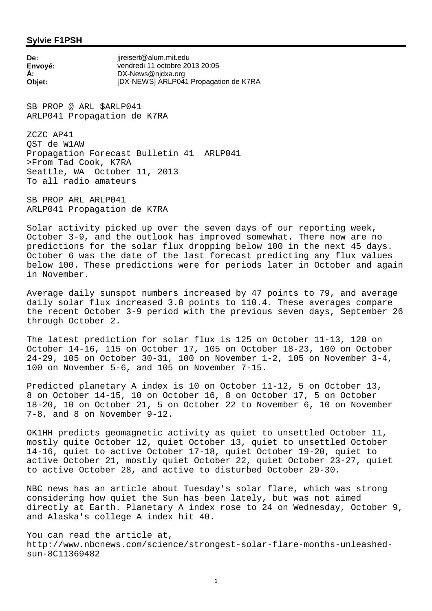## **Sylvie F1PSH**

**De:** ijreisert@alum.mit.edu **Envoyé:** vendredi 11 octobre 2013 20:05 **À:** DX-News@njdxa.org **Objet:** [DX-NEWS] ARLP041 Propagation de K7RA

SB PROP @ ARL \$ARLP041 ARLP041 Propagation de K7RA

ZCZC AP41 QST de W1AW Propagation Forecast Bulletin 41 ARLP041 >From Tad Cook, K7RA Seattle, WA October 11, 2013 To all radio amateurs

SB PROP ARL ARLP041 ARLP041 Propagation de K7RA

Solar activity picked up over the seven days of our reporting week, October 3-9, and the outlook has improved somewhat. There now are no predictions for the solar flux dropping below 100 in the next 45 days. October 6 was the date of the last forecast predicting any flux values below 100. These predictions were for periods later in October and again in November.

Average daily sunspot numbers increased by 47 points to 79, and average daily solar flux increased 3.8 points to 110.4. These averages compare the recent October 3-9 period with the previous seven days, September 26 through October 2.

The latest prediction for solar flux is 125 on October 11-13, 120 on October 14-16, 115 on October 17, 105 on October 18-23, 100 on October 24-29, 105 on October 30-31, 100 on November 1-2, 105 on November 3-4, 100 on November 5-6, and 105 on November 7-15.

Predicted planetary A index is 10 on October 11-12, 5 on October 13, 8 on October 14-15, 10 on October 16, 8 on October 17, 5 on October 18-20, 10 on October 21, 5 on October 22 to November 6, 10 on November 7-8, and 8 on November 9-12.

OK1HH predicts geomagnetic activity as quiet to unsettled October 11, mostly quite October 12, quiet October 13, quiet to unsettled October 14-16, quiet to active October 17-18, quiet October 19-20, quiet to active October 21, mostly quiet October 22, quiet October 23-27, quiet to active October 28, and active to disturbed October 29-30.

NBC news has an article about Tuesday's solar flare, which was strong considering how quiet the Sun has been lately, but was not aimed directly at Earth. Planetary A index rose to 24 on Wednesday, October 9, and Alaska's college A index hit 40.

You can read the article at, http://www.nbcnews.com/science/strongest-solar-flare-months-unleashedsun-8C11369482